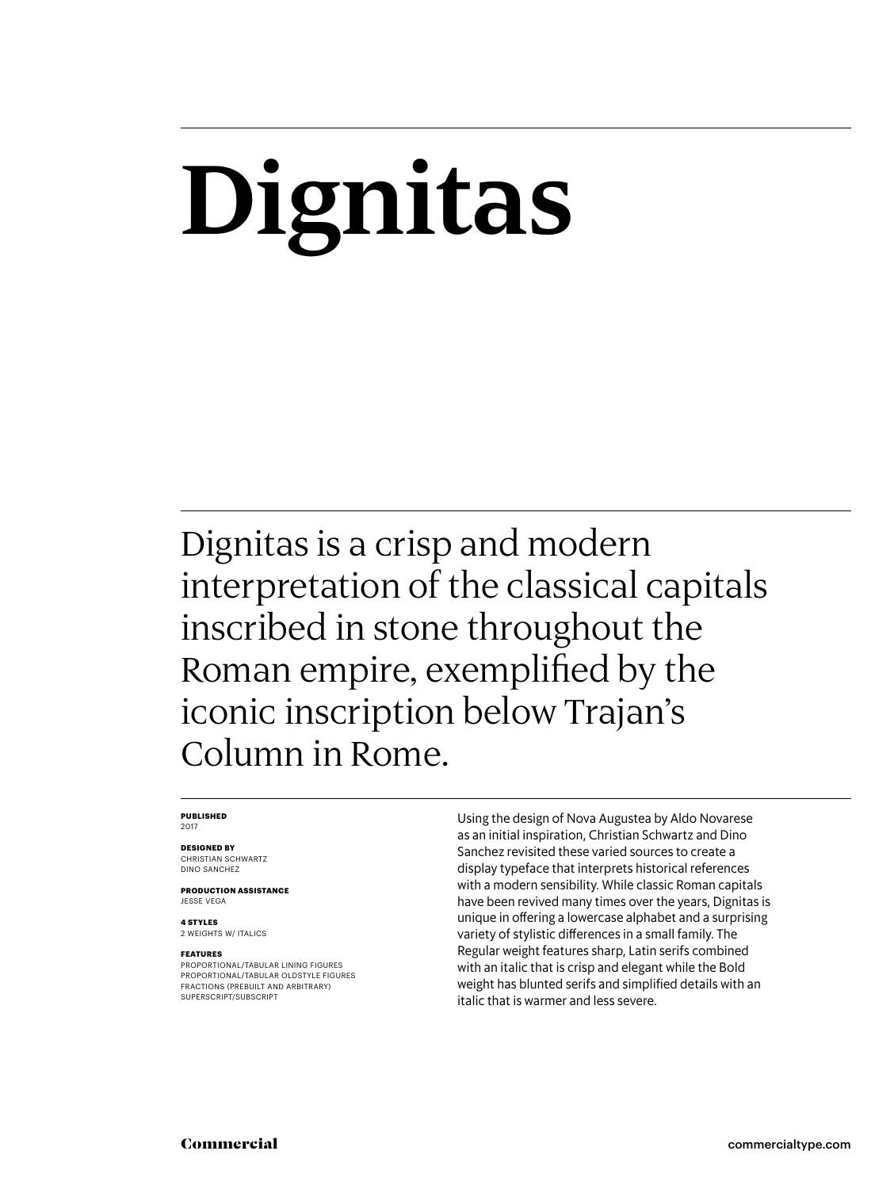# **Dignitas**

Dignitas is a crisp and modern interpretation of the classical capitals inscribed in stone throughout the Roman empire, exemplified by the iconic inscription below Trajan's Column in Rome.

#### **PUBLISHED** 2017

### **DESIGNED BY**

CHRISTIAN SCHWARTZ DINO SANCHEZ

**PRODUCTION ASSISTANCE** JESSE VEGA

**4 STYLES** 2 WEIGHTS W/ ITALICS

### **FEATURES**

PROPORTIONAL/TABULAR LINING FIGURES PROPORTIONAL/TABULAR OLDSTYLE FIGURES FRACTIONS (PREBUILT AND ARBITRARY) SUPERSCRIPT/SUBSCRIPT

Using the design of Nova Augustea by Aldo Novarese as an initial inspiration, Christian Schwartz and Dino Sanchez revisited these varied sources to create a display typeface that interprets historical references with a modern sensibility. While classic Roman capitals have been revived many times over the years, Dignitas is unique in offering a lowercase alphabet and a surprising variety of stylistic differences in a small family. The Regular weight features sharp, Latin serifs combined with an italic that is crisp and elegant while the Bold weight has blunted serifs and simplified details with an italic that is warmer and less severe.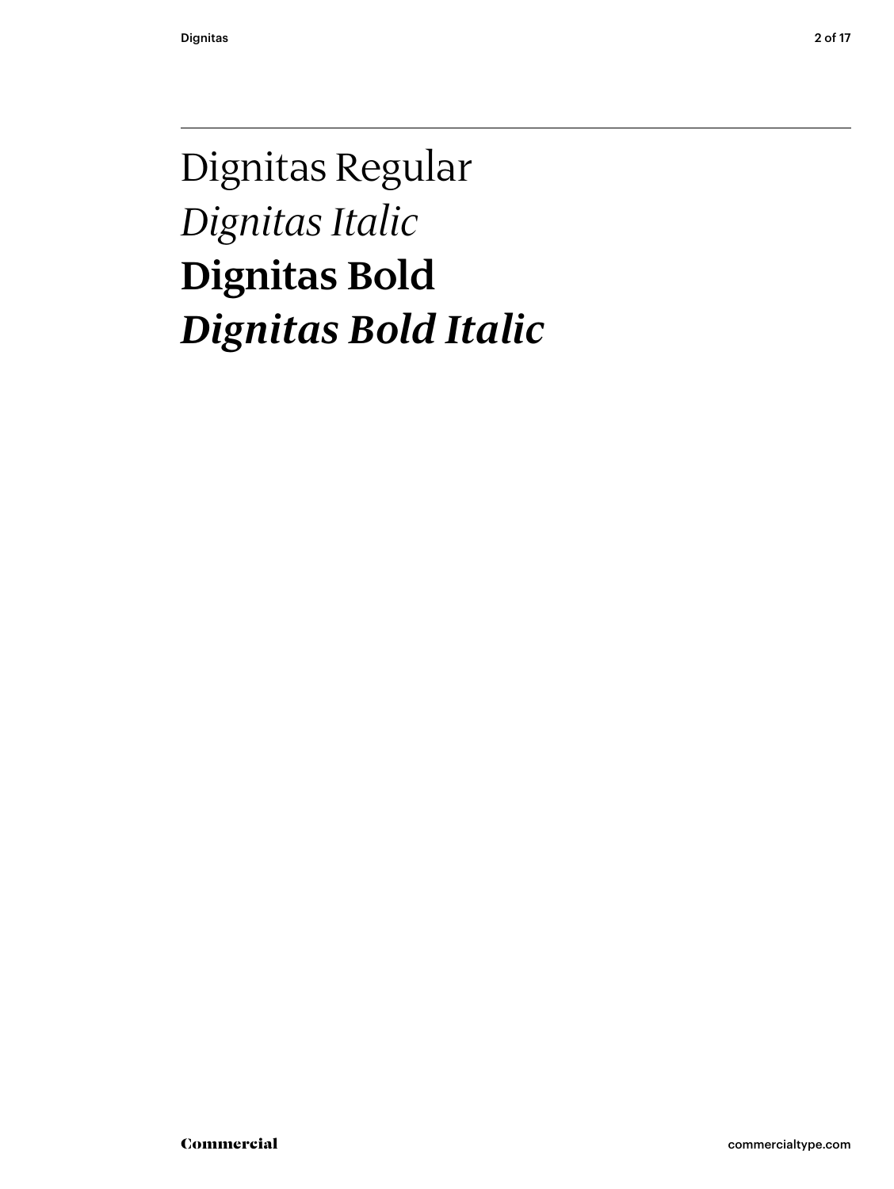### Dignitas Regular *Dignitas Italic* **Dignitas Bold** *Dignitas Bold Italic*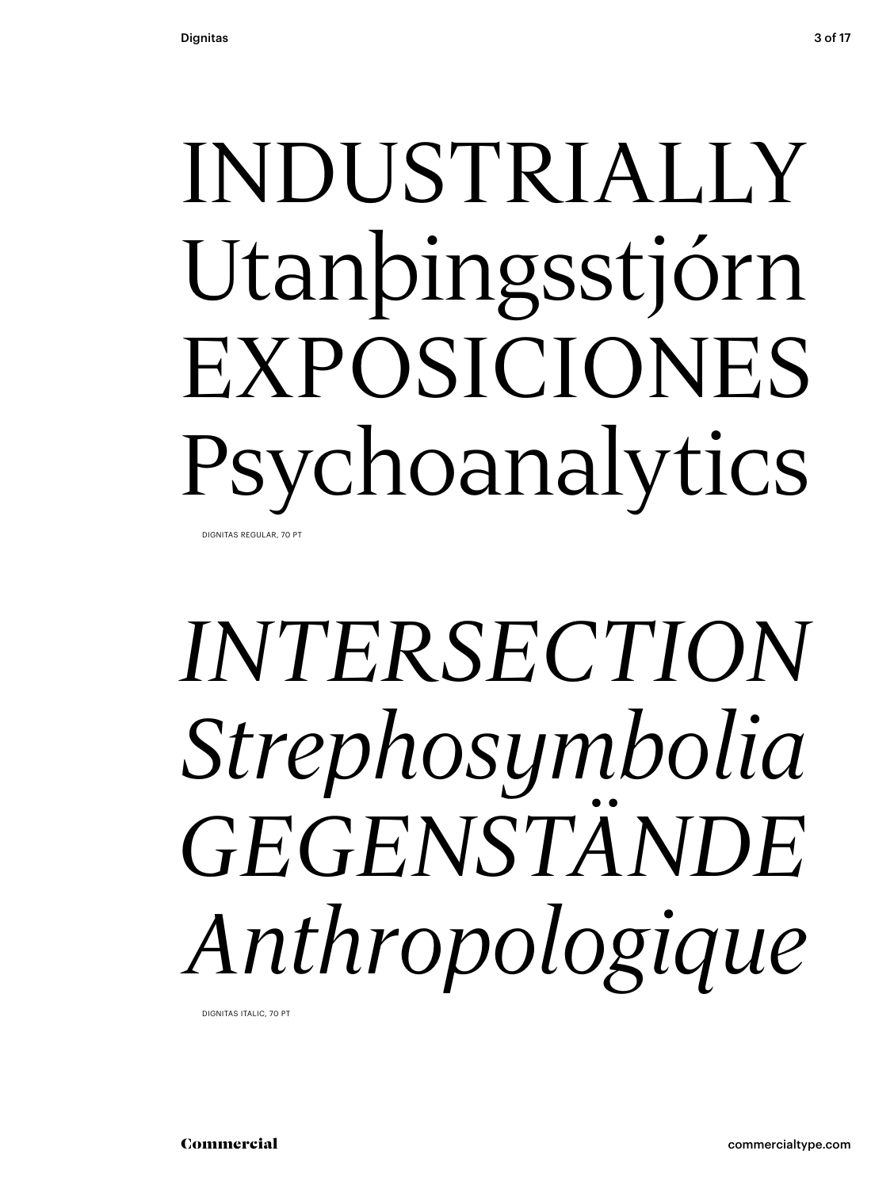## INDUSTRIALLY Utanþingsstjórn EXPOSICIONES Psychoanalytics DIGNITAS REGULAR, 70 PT

# *INTERSECTION Strephosymbolia GEGENSTÄNDE Anthropologique*

DIGNITAS ITALIC, 70 PT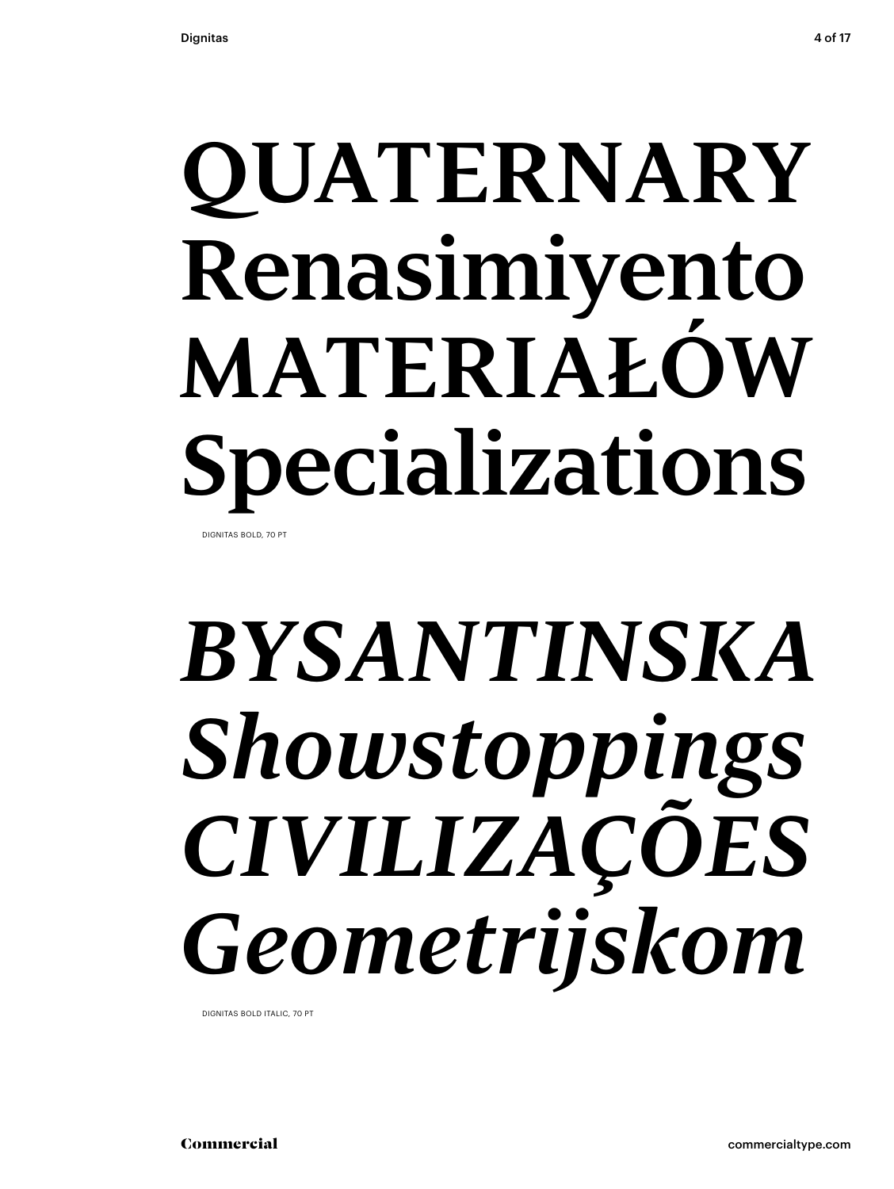## **QUATERNARY Renasimiyento MATERIAŁÓW Specializations** DIGNITAS BOLD, 70 PT

# *BYSANTINSKA Showstoppings CIVILIZAÇÕES Geometrijskom*

DIGNITAS BOLD ITALIC, 70 PT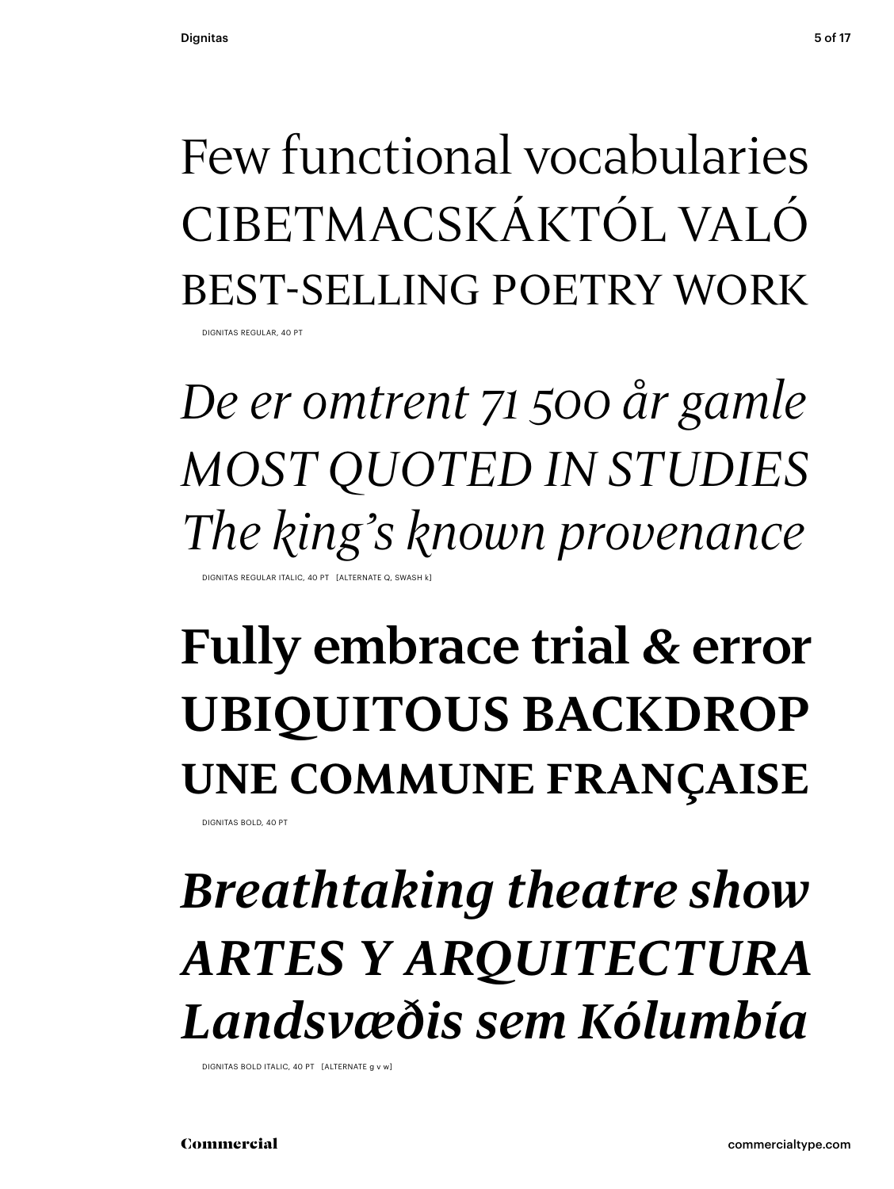### Few functional vocabularies CIBETMACSKÁKTÓL VALÓ best-selling poetry work

DIGNITAS REGULAR, 40 PT

*De er omtrent 71 500 år gamle MOST QUOTED IN STUDIES The king's known provenance*

DIGNITAS REGULAR ITALIC, 40 PT [ALTERNATE Q, SWASH k]

### **Fully embrace trial & error UBIQUITOUS BACKDROP une commune française**

DIGNITAS BOLD, 40 PT

### *Breathtaking theatre show ARTES Y ARQUITECTURA Landsvæðis sem Kólumbía*

DIGNITAS BOLD ITALIC, 40 PT [ALTERNATE g v w]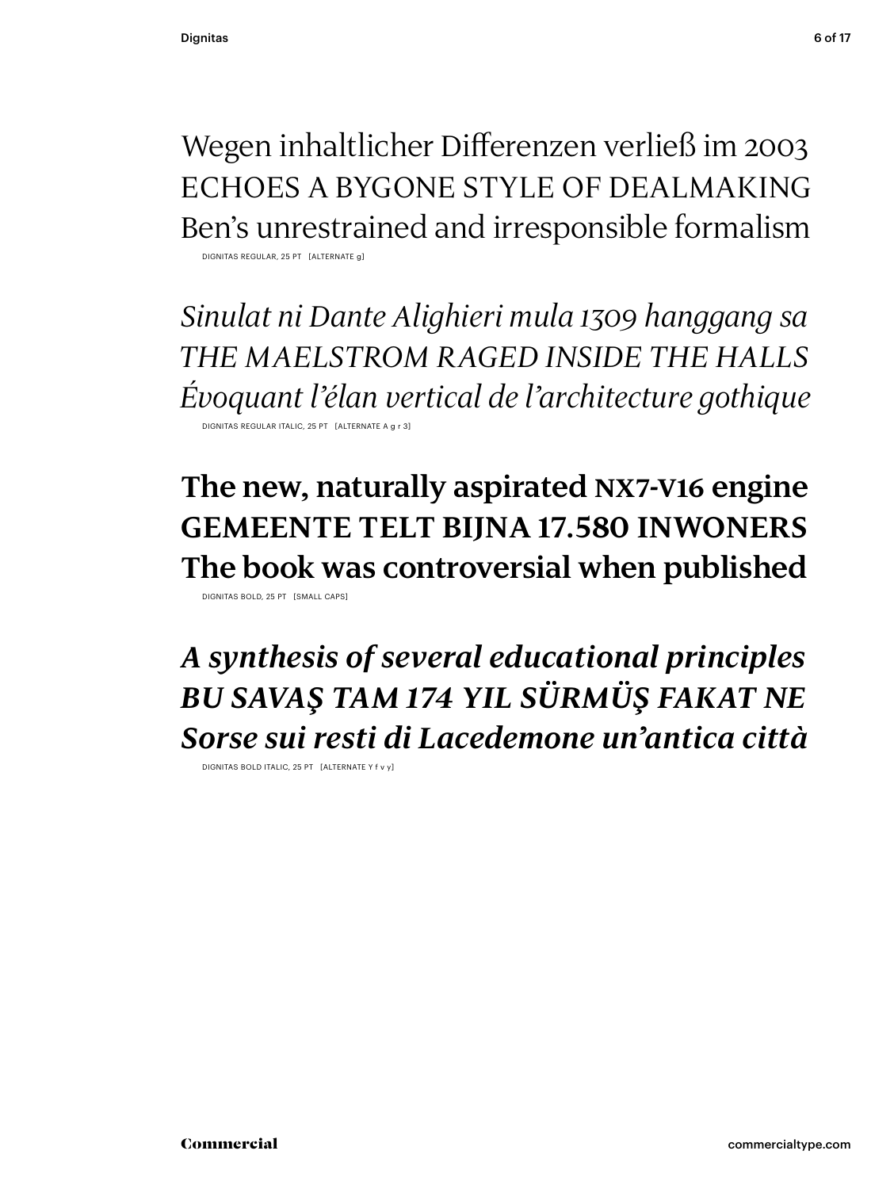Wegen inhaltlicher Differenzen verließ im 2003 ECHOES A BYGONE STYLE OF DEALMAKING Ben's unrestrained and irresponsible formalism

DIGNITAS REGULAR, 25 PT [ALTERNATE g]

*Sinulat ni Dante Alighieri mula 1309 hanggang sa THE MAELSTROM RAGED INSIDE THE HALLS Évoquant l'élan vertical de l'architecture gothique* DIGNITAS REGULAR ITALIC, 25 PT [ALTERNATE /

**The new, naturally aspirated nx7-v16 engine GEMEENTE TELT BIJNA 17.580 INWONERS The book was controversial when published** DIGNITAS BOLD, 25 PT [SMALL CAPS]

*A synthesis of several educational principles BU SAVAŞ TAM 174 YIL SÜRMÜŞ FAKAT NE Sorse sui resti di Lacedemone un'antica città*

DIGNITAS BOLD ITALIC, 25 PT [ALTERNATE Y f v y]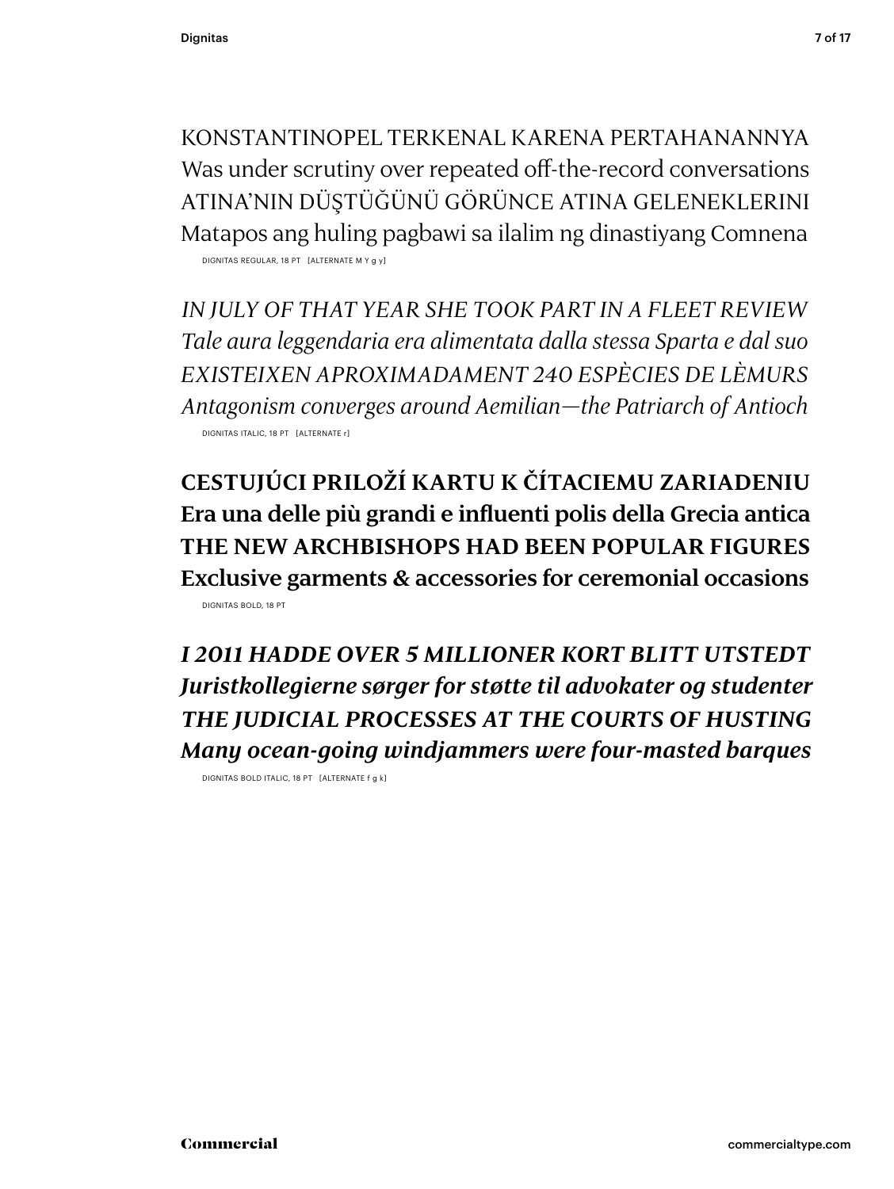KONSTANTINOPEL TERKENAL KARENA PERTAHANANNYA Was under scrutiny over repeated off-the-record conversations ATINA'NIN DÜŞTÜĞÜNÜ GÖRÜNCE ATINA GELENEKLERINI Matapos ang huling pagbawi sa ilalim ng dinastiyang Comnena

DIGNITAS REGULAR, 18 PT [ALTERNATE M Y g y]

*IN JULY OF THAT YEAR SHE TOOK PART IN A FLEET REVIEW Tale aura leggendaria era alimentata dalla stessa Sparta e dal suo EXISTEIXEN APROXIMADAMENT 240 ESPÈCIES DE LÈMURS Antagonism converges around Aemilian—the Patriarch of Antioch* DIGNITAS ITALIC, 18 PT [ALTERNATE r]

**CESTUJÚCI PRILOŽÍ KARTU K ČÍTACIEMU ZARIADENIU Era una delle più grandi e influenti polis della Grecia antica THE NEW ARCHBISHOPS HAD BEEN POPULAR FIGURES Exclusive garments & accessories for ceremonial occasions** DIGNITAS BOLD, 18 PT

*I 2011 HADDE OVER 5 MILLIONER KORT BLITT UTSTEDT Juristkollegierne sørger for støtte til advokater og studenter THE JUDICIAL PROCESSES AT THE COURTS OF HUSTING Many ocean-going windjammers were four-masted barques*

DIGNITAS BOLD ITALIC, 18 PT [ALTERNATE f g k]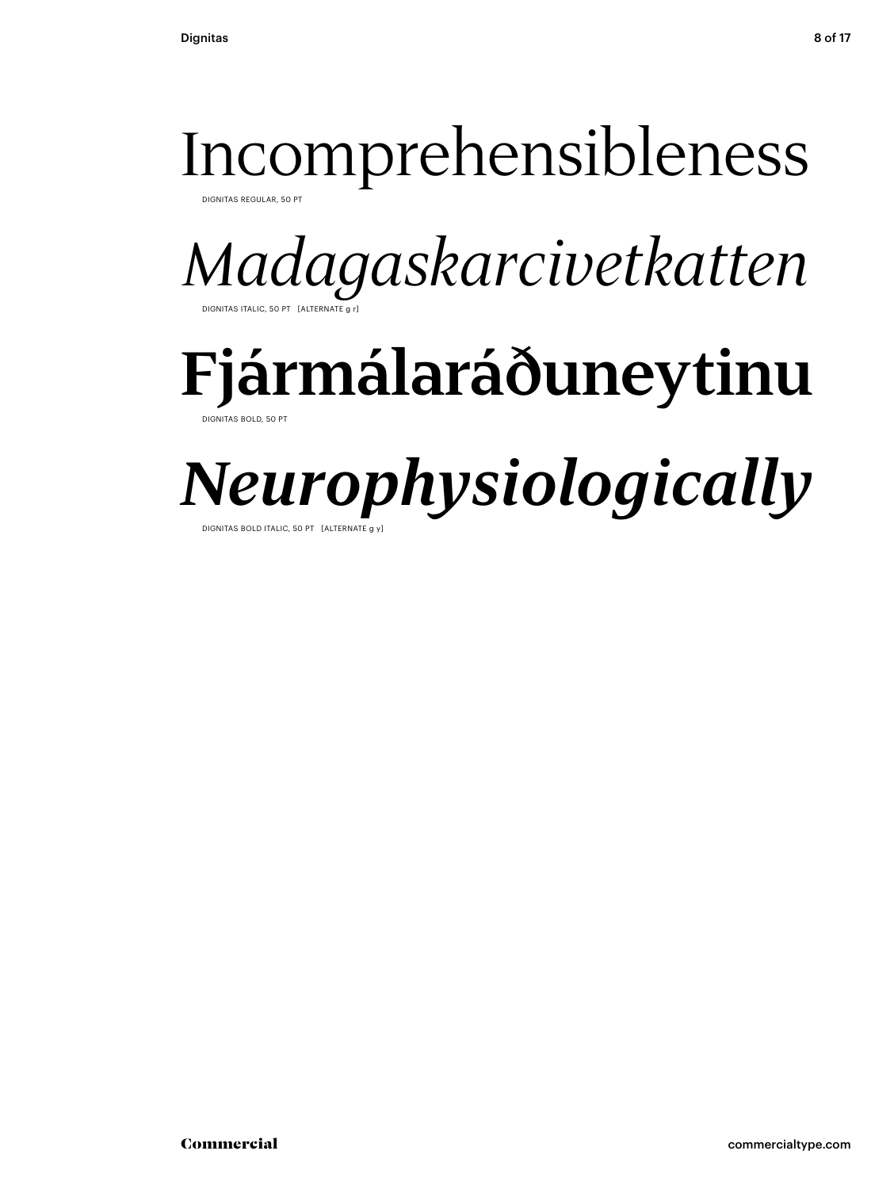### Incomprehensibleness

DIGNITAS REGULAR, 50 PT

*Madagaskarcivetkatten* DIGNITAS ITALIC, 50 PT [ALTERNATE g

# **Fjármálaráðuneytinu**

DIGNITAS BOLD, 50 PT

## *Neurophysiologically*

DIGNITAS BOLD ITALIC, 50 PT [ALTERNATE g ]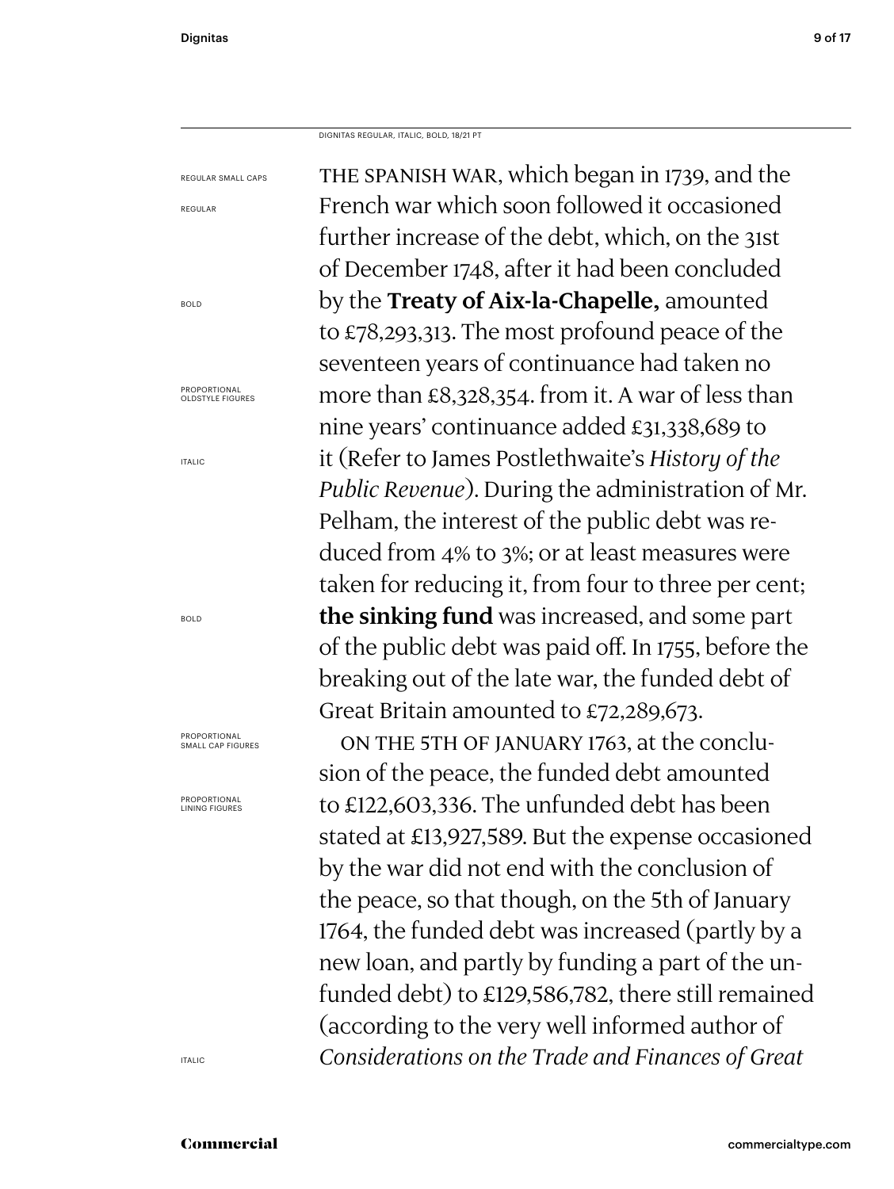REGULAR

BOLD

ITALIC

BOLD

DIGNITAS REGULAR, ITALIC, BOLD, 18/21 PT

THE SPANISH WAR, which began in 1739, and the French war which soon followed it occasioned further increase of the debt, which, on the 31st of December 1748, after it had been concluded by the **Treaty of Aix-la-Chapelle,** amounted to £78,293,313. The most profound peace of the seventeen years of continuance had taken no more than £8,328,354. from it. A war of less than nine years' continuance added £31,338,689 to it (Refer to James Postlethwaite's *History of the Public Revenue*). During the administration of Mr. Pelham, the interest of the public debt was reduced from 4% to 3%; or at least measures were taken for reducing it, from four to three per cent; **the sinking fund** was increased, and some part of the public debt was paid off. In 1755, before the breaking out of the late war, the funded debt of Great Britain amounted to £72,289,673. On the 5th of January 1763, at the conclusion of the peace, the funded debt amounted to £122,603,336. The unfunded debt has been stated at £13,927,589. But the expense occasioned by the war did not end with the conclusion of the peace, so that though, on the 5th of January 1764, the funded debt was increased (partly by a new loan, and partly by funding a part of the unfunded debt) to £129,586,782, there still remained REGULAR SMALL CAPS PROPORTIONAL OLDSTYLE FIGURES PROPORTIONAL SMALL CAP FIGURES PROPORTIONAL LINING FIGURES

*Considerations on the Trade and Finances of Great* 

(according to the very well informed author of

ITALIC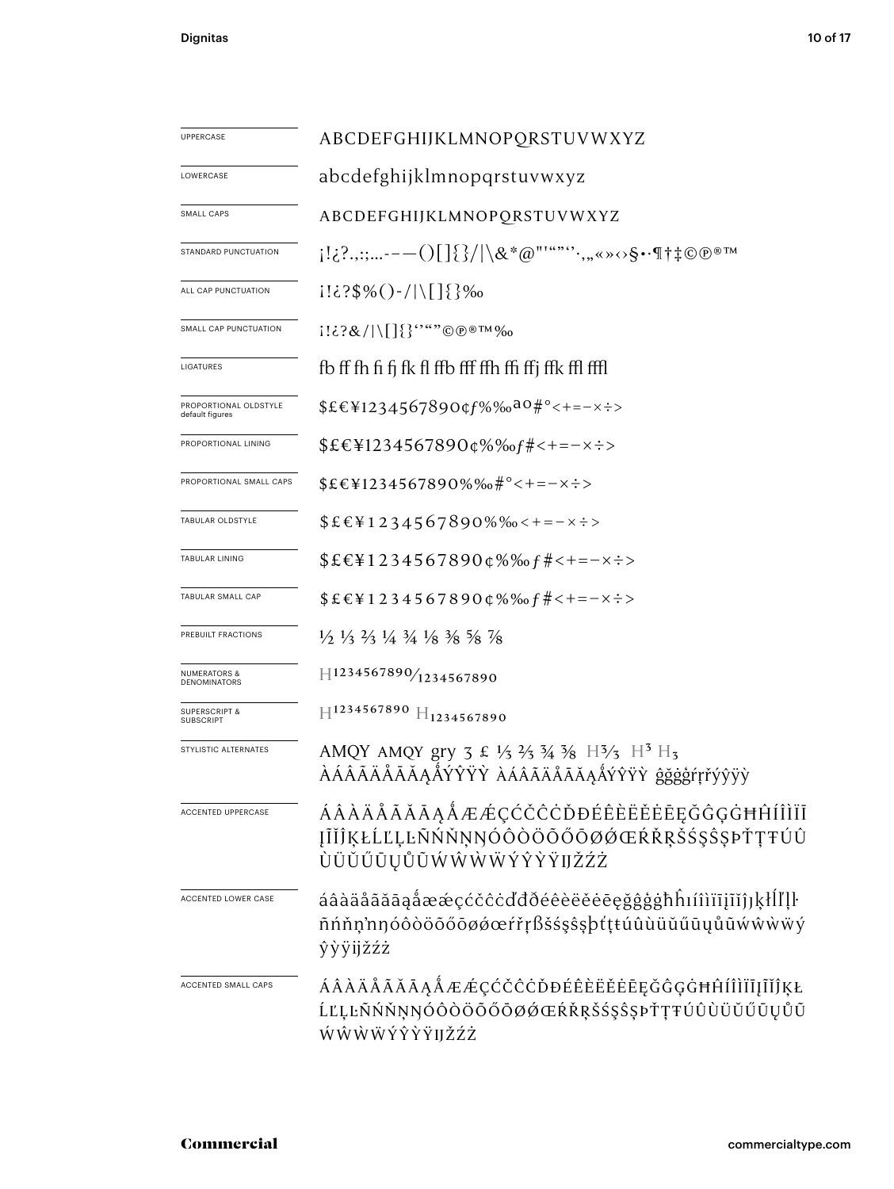| UPPERCASE                                      | ABCDEFGHIJKLMNOPQRSTUVWXYZ                                                                                                                                                                  |
|------------------------------------------------|---------------------------------------------------------------------------------------------------------------------------------------------------------------------------------------------|
| LOWERCASE                                      | abcdefghijklmnopqrstuvwxyz                                                                                                                                                                  |
| SMALL CAPS                                     | ABCDEFGHIJKLMNOPORSTUVWXYZ                                                                                                                                                                  |
| STANDARD PUNCTUATION                           | $[1:\,2:\,,,-(-1)]\$ /\&*@"'""``,,,«»<>S••¶†‡©@®™                                                                                                                                           |
| ALL CAP PUNCTUATION                            | $1! \in \{$ ?\$%() - /   \[] $\{$ } %                                                                                                                                                       |
| SMALL CAP PUNCTUATION                          | $1!\,\&\,\&/\langle\,[\,\]\{\}^{\cdots}$ " $\odot$ $\circ$ <sup>®</sup> ™‰                                                                                                                  |
| LIGATURES                                      | fb ff fh fi fi fk fl ffb fff ffh ffi ffj ffk ffl fffl                                                                                                                                       |
| PROPORTIONAL OLDSTYLE<br>default figures       | $$EE41234567890$ $$f\%$ % $a0\#$ ° < + = - x ÷ >                                                                                                                                            |
| PROPORTIONAL LINING                            | $$EEY1234567890Q\%% of # < + = - \times \div$                                                                                                                                               |
| PROPORTIONAL SMALL CAPS                        | $$EEY1234567890\%$ %#°<+=-x:>                                                                                                                                                               |
| TABULAR OLDSTYLE                               | $$EEY1234567890\%$ % $\leftarrow$ + = - x ÷ >                                                                                                                                               |
| TABULAR LINING                                 | $$EE41234567890\phi\%$ % $f#<-x\div$                                                                                                                                                        |
| TABULAR SMALL CAP                              | $$EEY12345678900\%% of # < + = -x \div$                                                                                                                                                     |
| PREBUILT FRACTIONS                             | $\frac{1}{2}$ $\frac{1}{3}$ $\frac{2}{3}$ $\frac{1}{4}$ $\frac{3}{4}$ $\frac{1}{8}$ $\frac{3}{8}$ $\frac{5}{8}$ $\frac{7}{8}$                                                               |
| <b>NUMERATORS &amp;</b><br><b>DENOMINATORS</b> | $H$ 1234567890 $/$ 1234567890                                                                                                                                                               |
| <b>SUPERSCRIPT &amp;</b><br><b>SUBSCRIPT</b>   | $H^{1234567890}$ $H_{1234567890}$                                                                                                                                                           |
| STYLISTIC ALTERNATES                           | AMQY AMQY gry $3 \n\pounds \frac{1}{3} \n\pounds \frac{2}{3} \n\pounds \frac{3}{4} \n\pounds \n\pounds \frac{13}{3} \n\pounds \n\frac{13}{15}$<br>ÀÁÂÃÄÅĀĂĄÅÝŶŸŶ ÀÁÂÃÄÅĀĂĄÅÝŶŸŶ ĝğġģŕŗřýŷÿỳ |
| <b>ACCENTED UPPERCASE</b>                      | ÁÂÀÄÅÃĂĀĄÅÆÆÇĆČĊŎĐÉÊÈËĔĒĒĢĞĢĠĦĤÍÎÌÏĪ<br>ĮĨĬĴĶŁĹĽĻĿÑŃŇŅŊÓÔÒÖŐŐŌØØŒŔŘŖŠŚŞŜŞÞŤŢŦÚÛ<br>ÙÜŬŰŪŲŮŨŴŴŴŴÝŶŶŸIJŽŹŻ                                                                                    |
| ACCENTED LOWER CASE                            | áâàäåãããąåææçćčĉċďđðéêèëĕėeęğĝģġħĥıíîìïījĩĭĵյķłĺľḷŀ<br>ñńňņ'nŋóôòöõőōøøœŕřŗßšśşŝşþťţŧúûùüŭűūųůũẃŵẁẅý<br>ŷỳÿijžźż                                                                            |
| ACCENTED SMALL CAPS                            | ÁÂÀÄÅÃĂĀĄÅÆÆÇĆČĈĊĎĐÉÊÈËĖĒĘĞĜĢĠĦĤÍÎÌÏĪJĨĬĴĶŁ<br>ĹĽĻĿÑŃŇŅŊÓÔŎŎŐŐŌØŐŒŔŘŖŠŚŞŜŞÞŤŢŦÚÛÙÜŬŰŪŲŮŨ<br>ŴŴŴŴÝŶŶŸIJŽŹŻ                                                                                   |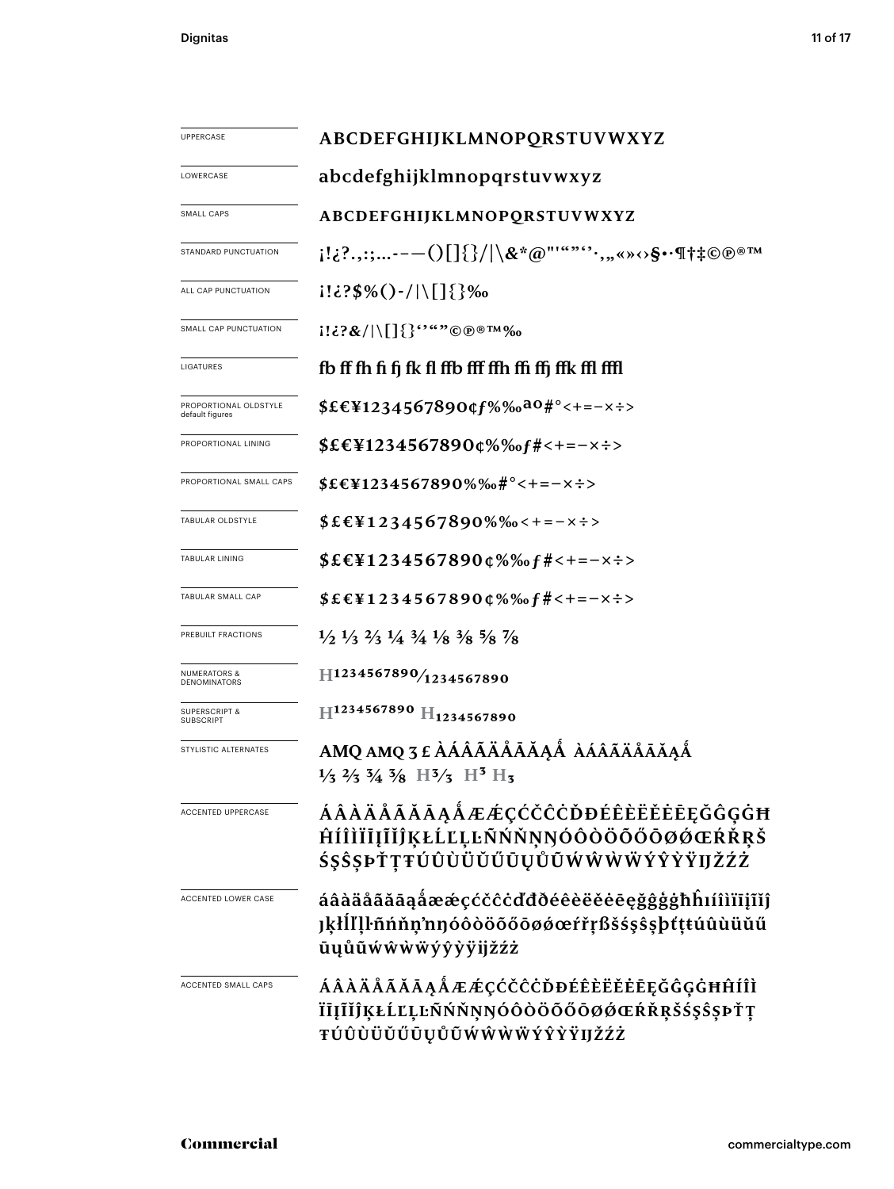| UPPERCASE                                | ABCDEFGHIJKLMNOPQRSTUVWXYZ                                                                                                                   |  |  |  |  |
|------------------------------------------|----------------------------------------------------------------------------------------------------------------------------------------------|--|--|--|--|
| LOWERCASE                                | abcdefghijklmnopqrstuvwxyz                                                                                                                   |  |  |  |  |
| SMALL CAPS                               | ABCDEFGHIJKLMNOPQRSTUVWXYZ                                                                                                                   |  |  |  |  |
| STANDARD PUNCTUATION                     | i!¿?.,:;---()[]{}/ \&*@"'""''`,"«»⇔§•∙¶†‡©®®™                                                                                                |  |  |  |  |
| ALL CAP PUNCTUATION                      | $i! \in \{3\%() - /   \lfloor \frac{1}{2} \rfloor \}$ %                                                                                      |  |  |  |  |
| SMALL CAP PUNCTUATION                    |                                                                                                                                              |  |  |  |  |
| LIGATURES                                | fb ff fh fi fj fk fl ffb fff ffh ffi ffj ffk ffl fffl                                                                                        |  |  |  |  |
| PROPORTIONAL OLDSTYLE<br>default figures | $$EEY1234567890qf\%$ %a0#°<+=-x÷>                                                                                                            |  |  |  |  |
| PROPORTIONAL LINING                      | \$£€¥1234567890¢%‰f#<+=−×÷>                                                                                                                  |  |  |  |  |
| PROPORTIONAL SMALL CAPS                  | $$EEY1234567890\%$ % $#$ °<+=-x÷>                                                                                                            |  |  |  |  |
| TABULAR OLDSTYLE                         | $$EEY1234567890\%$ %-+=-x :>                                                                                                                 |  |  |  |  |
| TABULAR LINING                           | $$EEY1234567890Q\%% of # < + = -x \div$                                                                                                      |  |  |  |  |
| TABULAR SMALL CAP                        | $$EEY12345678900\%$ %of#<+=-x÷>                                                                                                              |  |  |  |  |
| PREBUILT FRACTIONS                       | $\frac{1}{2}$ $\frac{1}{3}$ $\frac{2}{3}$ $\frac{1}{4}$ $\frac{3}{4}$ $\frac{1}{8}$ $\frac{3}{8}$ $\frac{5}{8}$ $\frac{7}{8}$                |  |  |  |  |
| <b>NUMERATORS &amp;</b><br>DENOMINATORS  | $H$ 1234567890/ <sub>1234567890</sub>                                                                                                        |  |  |  |  |
| <b>SUPERSCRIPT &amp;</b><br>SUBSCRIPT    | H1234567890 H <sub>1234567890</sub>                                                                                                          |  |  |  |  |
| STYLISTIC ALTERNATES                     | AMQ AMQ 3 £ ÀÁÂÃÄÅÅĂÅÅÅ ÀÁÂÃÄÅĀĂÅÅ<br>$\frac{1}{3}$ $\frac{2}{3}$ $\frac{5}{4}$ $\frac{3}{8}$ $\frac{13}{3}$ $\frac{13}{13}$ $\frac{13}{13}$ |  |  |  |  |
| <b>ACCENTED UPPERCASE</b>                | ÁÂÀÄÅÃĂĀĄÅÆÆÇĆČĈŎĐÉÊÈËĔĒĘĞĜĢĠĦ<br>ĤÍÎÌÏĪĮĨĬĴĶŁĹĽĻĿÑŃŇŅŊÓÔŎÖŐŐŌØĆŒŔŘŖŠ<br>ŚŞŜŞÞŤŢŦÚÛÙÜŬŰŨŲŮŨŴŴŴŴÝŶŶŸIJŽŹŻ                                     |  |  |  |  |
| ACCENTED LOWER CASE                      | áâàäåãăāąåææçćčĉċďđðéêèëĕēęğĝģġħĥıíîìïīįĩĭĵ<br><b>Jķłĺľļŀñńňņ'nŋóôòöőőōøøœŕřŗßšśşŝşþťṭŧúûùüŭű</b><br>ūųůũẃŵẁẅýŷỳÿijžźż                       |  |  |  |  |
| ACCENTED SMALL CAPS                      | ÁÂÀÄÅÃĂĀĄÅÆÆÇĆČĈĊĎĐÉÊÈËĔĖĒĘĞĜĢĠĦĤÍÎÌ<br>ÏĪĮĨĬĴĶŁĹĽĻĿÑŃŇŅŊÓÔÒÖŐŐŐØØŒŔŘŖŠŚŞŜŞÞŤŢ<br>ŦÚÛÙÜŬŰŪŲŮŨŴŴŴŴÝŶŶŸIJŽŹŻ                                   |  |  |  |  |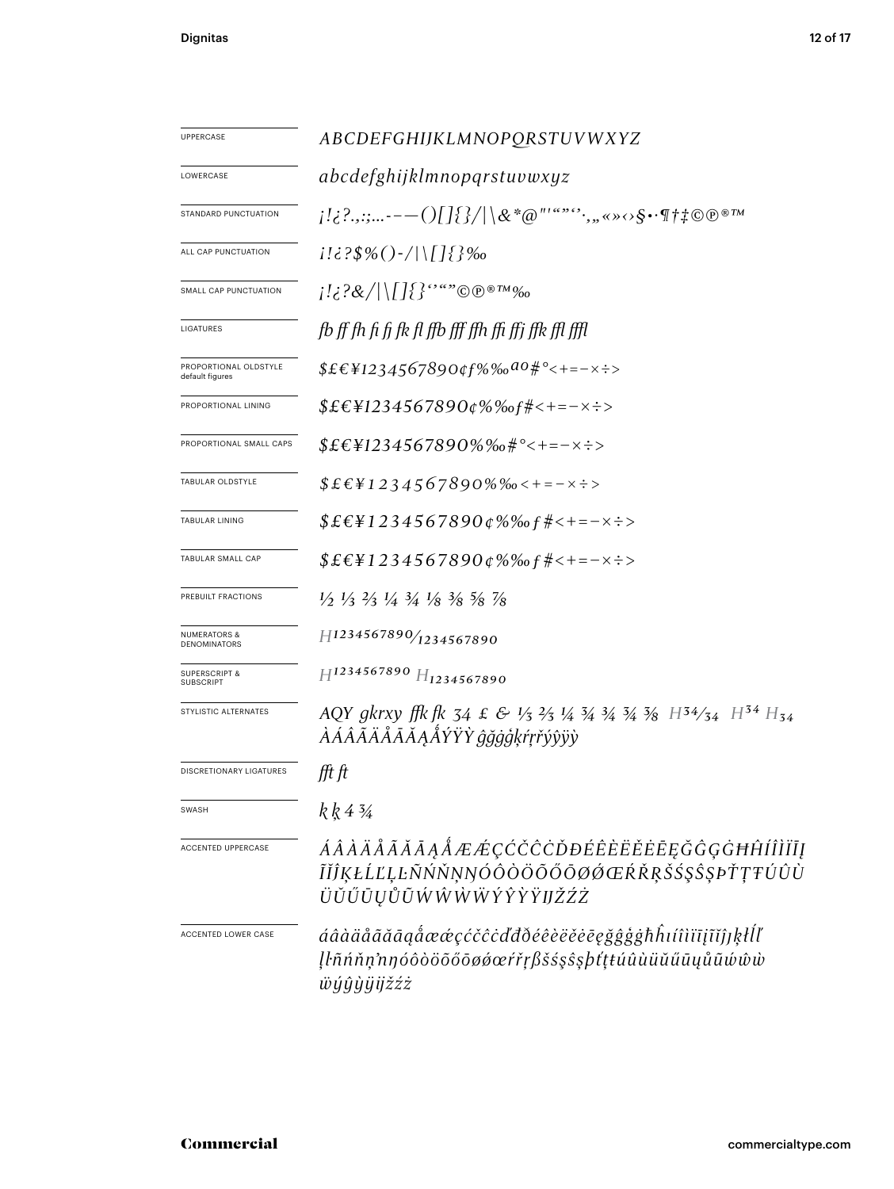| UPPERCASE                                | ABCDEFGHIJKLMNOPORSTUVWXYZ                                                                                                           |
|------------------------------------------|--------------------------------------------------------------------------------------------------------------------------------------|
| LOWERCASE                                | abcdefghijklmnopqrstuvwxyz                                                                                                           |
| STANDARD PUNCTUATION                     | $_{l}$ !¿?.,:;---()[]{}/ \&*@"'""*``,"«»<>\$•^¶†‡©®®™                                                                                |
| ALL CAP PUNCTUATION                      | $1! \in ?\$ % () - /   \ [ ] $\{$ } %                                                                                                |
| SMALL CAP PUNCTUATION                    |                                                                                                                                      |
| LIGATURES                                | fb ff fh fi fi fk fl ffb fff ffh ffi ffi ffk ffl ffl                                                                                 |
| PROPORTIONAL OLDSTYLE<br>default figures | $$£€¥1234567890¢f%%0a0#°<+=-x\div$                                                                                                   |
| PROPORTIONAL LINING                      | $$EEY1234567890\varphi\% \% of \# <+=-\times \div >$                                                                                 |
| PROPORTIONAL SMALL CAPS                  | $$£E¥1234567890\%%o#°<+=-x\div$                                                                                                      |
| TABULAR OLDSTYLE                         | $$£€¥1234567890%%c+=-x\div$                                                                                                          |
| TABULAR LINING                           | $$EEY1234567890\phi\%$ % $f#<-x\div$                                                                                                 |
| TABULAR SMALL CAP                        | $$£E¥1234567890¢\%% of #<-=-x\div$                                                                                                   |
| PREBUILT FRACTIONS                       | $\frac{1}{2}$ $\frac{1}{3}$ $\frac{2}{3}$ $\frac{1}{4}$ $\frac{3}{4}$ $\frac{1}{8}$ $\frac{3}{8}$ $\frac{5}{8}$ $\frac{7}{8}$        |
| NUMERATORS &<br>DENOMINATORS             | H1234567890/1234567890                                                                                                               |
| <b>SUPERSCRIPT &amp;</b><br>SUBSCRIPT    | H1234567890 H <sub>1234567890</sub>                                                                                                  |
| STYLISTIC ALTERNATES                     | AQY gkrxy ffk fk 34 £ & 1/3 2/3 1/4 3/4 3/4 3/8 $H^{34}/_{34}$ $H^{34}/_{54}$ $H^{34}$ $H_{34}$<br><i>ÀÁÂÃÄÅĀĂĄÅÝŸŶ ĝğġģķŕŗřýŷÿỳ</i> |
| DISCRETIONARY LIGATURES                  | fft ft                                                                                                                               |
| SWASH                                    | k k 4 3⁄4                                                                                                                            |
| ACCENTED UPPERCASE                       | ÁÂÀÄÅÃĂĀĄÅÆÆÇĆČĈÒĐÉÊÈËËĖĒĘĞĜĢĠĦĤÍÎÌÏĪĮ<br>ĨĬĴĶŁĹĽĻĿÑŃŇŅŊÓÔÒÖÕŐŐØØŒŔŘŖŠŚŞŜŞÞŤŢŦÚÛÙ<br>ÜŬŰŪŲŮŨŴŴŴŴÝŶŶŸIJŽŹŻ                            |
| ACCENTED LOWER CASE                      | áâàäåããāąåææçćčĉċďđðéêèëĕēegğĝģġħĥıíîìïīįĩĭĵ]ķłĺľ<br>Įŀñńňņ'nŋóôòöõőōøǿœŕřŗβšśşŝşþťţŧúûùüŭűūųůũώŵŵ<br><i>ѿӈ҆</i> ӈ҆ӈ҅ӥӀѯźż           |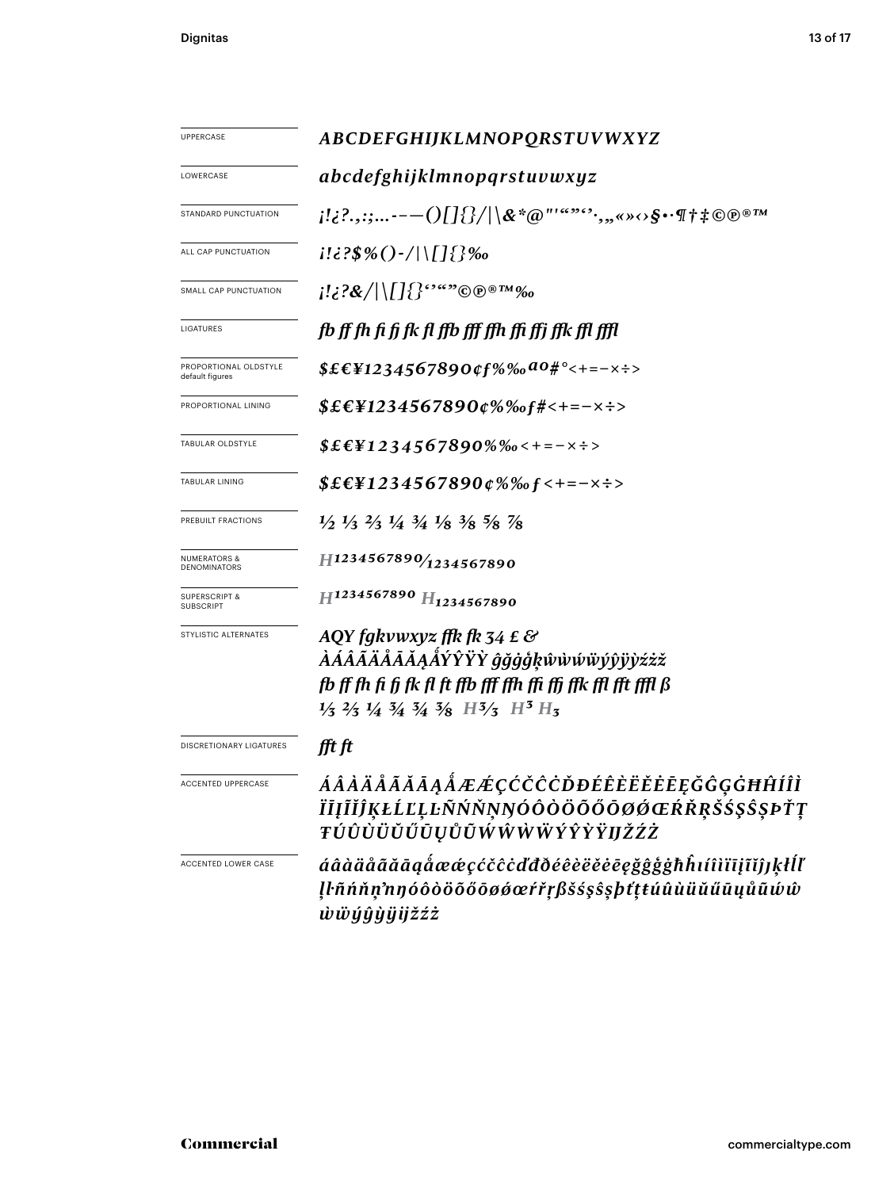| UPPERCASE                                    | ABCDEFGHIJKLMNOPQRSTUVWXYZ                                                                                                                                                                                                                                                                                                            |
|----------------------------------------------|---------------------------------------------------------------------------------------------------------------------------------------------------------------------------------------------------------------------------------------------------------------------------------------------------------------------------------------|
| LOWERCASE                                    | abcdefghijklmnopqrstuvwxyz                                                                                                                                                                                                                                                                                                            |
| STANDARD PUNCTUATION                         | $\{1,2^2,\ldots---(0)[\{\}/ \$ &*@"'"""',"«» $\leftrightarrow$ S $\cdot$ T†‡©®®™                                                                                                                                                                                                                                                      |
| ALL CAP PUNCTUATION                          | $i! \in \{3\%() - /   \lfloor \frac{1}{2} \rfloor\}$ ‰                                                                                                                                                                                                                                                                                |
| SMALL CAP PUNCTUATION                        | $\{ \mathcal{R}/ \Pi \}$ $\{$ $\mathcal{S}^{\alpha}$ $\infty$ $\mathbb{R}$ $\mathbb{R}$ $\mathbb{R}$ $\mathbb{R}$ $\mathbb{R}$ $\mathbb{R}$ $\mathbb{R}$ $\mathbb{R}$ $\mathbb{R}$ $\mathbb{R}$ $\mathbb{R}$ $\mathbb{R}$ $\mathbb{R}$ $\mathbb{R}$ $\mathbb{R}$ $\mathbb{R}$ $\mathbb{R}$ $\mathbb{R}$ $\mathbb{R}$ $\mathbb{R}$ $\$ |
| LIGATURES                                    | fb ff fh fi fj fk fl ffb fff ffh ffi ffi ffk ffl ffl                                                                                                                                                                                                                                                                                  |
| PROPORTIONAL OLDSTYLE<br>default figures     | $$EEY1234567890$ of $%%$ a0# ° < + = - x ÷ >                                                                                                                                                                                                                                                                                          |
| PROPORTIONAL LINING                          | $$EEY1234567890¢\%% of #<+=-x+>$                                                                                                                                                                                                                                                                                                      |
| TABULAR OLDSTYLE                             | $$EEY1234567890\%$ %0<+=-x÷>                                                                                                                                                                                                                                                                                                          |
| TABULAR LINING                               | $$EEY1234567890¢\%%f<+=-x\div$                                                                                                                                                                                                                                                                                                        |
| PREBUILT FRACTIONS                           | $\frac{1}{2}$ $\frac{1}{3}$ $\frac{2}{3}$ $\frac{1}{4}$ $\frac{3}{4}$ $\frac{1}{8}$ $\frac{3}{8}$ $\frac{5}{8}$ $\frac{7}{8}$                                                                                                                                                                                                         |
| <b>NUMERATORS &amp;</b><br>DENOMINATORS      | H1234567890/1234567890                                                                                                                                                                                                                                                                                                                |
| <b>SUPERSCRIPT &amp;</b><br><b>SUBSCRIPT</b> | H1234567890 H <sub>1234567890</sub>                                                                                                                                                                                                                                                                                                   |
| STYLISTIC ALTERNATES                         | AQY fgkvwxyz ffk fk 34 £ &<br><i>ÀÁÂÃÄÅĀĂĄÅÝŶŸŶ ĝğġģķŵŵŵŵŷŷÿỳźżž</i><br>fb ff fh fi fi fk fl ft ffb fff ffh ffi ffi ffk ffl fft ffll ß<br>$\frac{1}{3}$ $\frac{2}{3}$ $\frac{1}{4}$ $\frac{3}{4}$ $\frac{3}{8}$ $\frac{13}{3}$ $\frac{13}{3}$ $\frac{13}{13}$ $\frac{13}{13}$                                                         |
| DISCRETIONARY LIGATURES                      | fft ft                                                                                                                                                                                                                                                                                                                                |
| <b>ACCENTED UPPERCASE</b>                    | ÁÂÀÄÅÃĂĀĄÅÆÆÇĆČĈÒĐÉÊÈËĔĒĘĞĜĢĠĦĤÍÎÌ<br>ÏĪĮĨĬĴĶŁĹĽĻĿÑŃŇŅŊÓÔÒÖŐŐŐØØŒŔŘŖŠŚŞŜŞÞŤŢ<br>ŦÚÛÙÜŬŰŪŲŮŨŴŴŴŴÝŶŶŸIJŽŹŻ                                                                                                                                                                                                                              |
| <b>ACCENTED LOWER CASE</b>                   | áâàäåããāąåææçćčĉċďđðéêèëĕēęğĝģġħĥıíîìïīįĩĭĵJķłĺľ<br>ll·ñńňn'nnóôòöõőöøøœŕřŗßšśşŝşþťttúûùüŭűūųůũŵŵ<br>wwyŷyÿijžźż                                                                                                                                                                                                                      |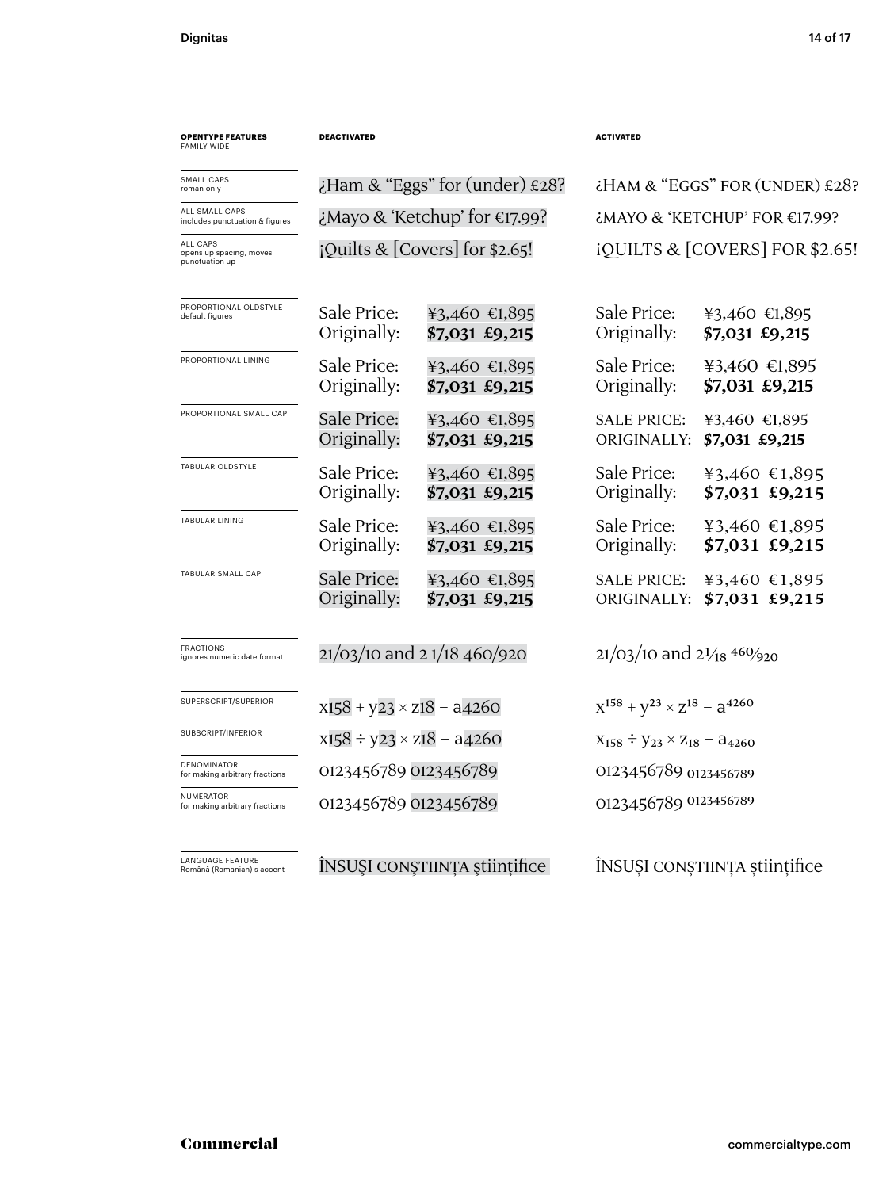| <b>OPENTYPE FEATURES</b><br><b>FAMILY WIDE</b>               | <b>DEACTIVATED</b>               |                                          | <b>ACTIVATED</b>                                   |                                                |  |
|--------------------------------------------------------------|----------------------------------|------------------------------------------|----------------------------------------------------|------------------------------------------------|--|
| SMALL CAPS<br>roman only                                     |                                  | $\epsilon$ Ham & "Eggs" for (under) £28? | ¿HAM & "EGGS" FOR (UNDER) £28?                     |                                                |  |
| ALL SMALL CAPS<br>includes punctuation & figures             |                                  | ¿Mayo & 'Ketchup' for €17.99?            | $\epsilon$ MAYO & 'KETCHUP' FOR $\epsilon$ 17.99?  |                                                |  |
| <b>ALL CAPS</b><br>opens up spacing, moves<br>punctuation up | iQuilts & $[Covers]$ for \$2.65! |                                          | iQUILTS & [COVERS] FOR \$2.65!                     |                                                |  |
| PROPORTIONAL OLDSTYLE<br>default figures                     | Sale Price:<br>Originally:       | ¥3,460 €1,895<br>\$7,031 £9,215          | Sale Price:<br>Originally:                         | ¥3,460 €1,895<br>\$7,031 £9,215                |  |
| PROPORTIONAL LINING                                          | Sale Price:<br>Originally:       | ¥3,460 €1,895<br>\$7,031 £9,215          | Sale Price:<br>Originally:                         | ¥3,460 €1,895<br>\$7,031 £9,215                |  |
| PROPORTIONAL SMALL CAP                                       | Sale Price:<br>Originally:       | ¥3,460 €1,895<br>\$7,031 £9,215          | <b>SALE PRICE:</b><br>ORIGINALLY:                  | ¥3,460 €1,895<br>\$7,031 £9,215                |  |
| TABULAR OLDSTYLE                                             | Sale Price:<br>Originally:       | ¥3,460 €1,895<br>\$7,031 £9,215          | Sale Price:<br>Originally:                         | ¥3,460 €1,895<br>\$7,031 £9,215                |  |
| <b>TABULAR LINING</b>                                        | Sale Price:<br>Originally:       | ¥3,460 €1,895<br>\$7,031 £9,215          | Sale Price:<br>Originally:                         | ¥3,460 €1,895<br>\$7,031 £9,215                |  |
| TABULAR SMALL CAP                                            | Sale Price:<br>Originally:       | ¥3,460 €1,895<br>\$7,031 £9,215          | <b>SALE PRICE:</b><br>ORIGINALLY:                  | ¥3,460 €1,895<br>\$7,031 £9,215                |  |
| <b>FRACTIONS</b><br>ignores numeric date format              | $21/03/10$ and 2 $1/18$ 460/920  |                                          | $21/03/10$ and $2\frac{1}{18}$ 460/ <sub>920</sub> |                                                |  |
| SUPERSCRIPT/SUPERIOR                                         |                                  | $x158 + y23 \times z18 - a4260$          |                                                    | $X^{158} + Y^{23} \times Z^{18} - Z^{4260}$    |  |
| SUBSCRIPT/INFERIOR                                           |                                  | $x158 \div y23 \times z18 - a4260$       |                                                    | $X_{158} \div Y_{23} \times Z_{18} - a_{4260}$ |  |
| DENOMINATOR<br>for making arbitrary fractions                | 0123456789 0123456789            |                                          | 0123456789 0123456789                              |                                                |  |
| <b>NUMERATOR</b><br>for making arbitrary fractions           | 0123456789 0123456789            |                                          | 0123456789 0123456789                              |                                                |  |
| <b>LANGUAGE FEATURE</b><br>Română (Romanian) s accent        | ÎNSUȘI CONȘTIINȚA științifice    |                                          |                                                    | ÎNSUȘI CONȘTIINȚA științifice                  |  |

### Commercial commercialtype.com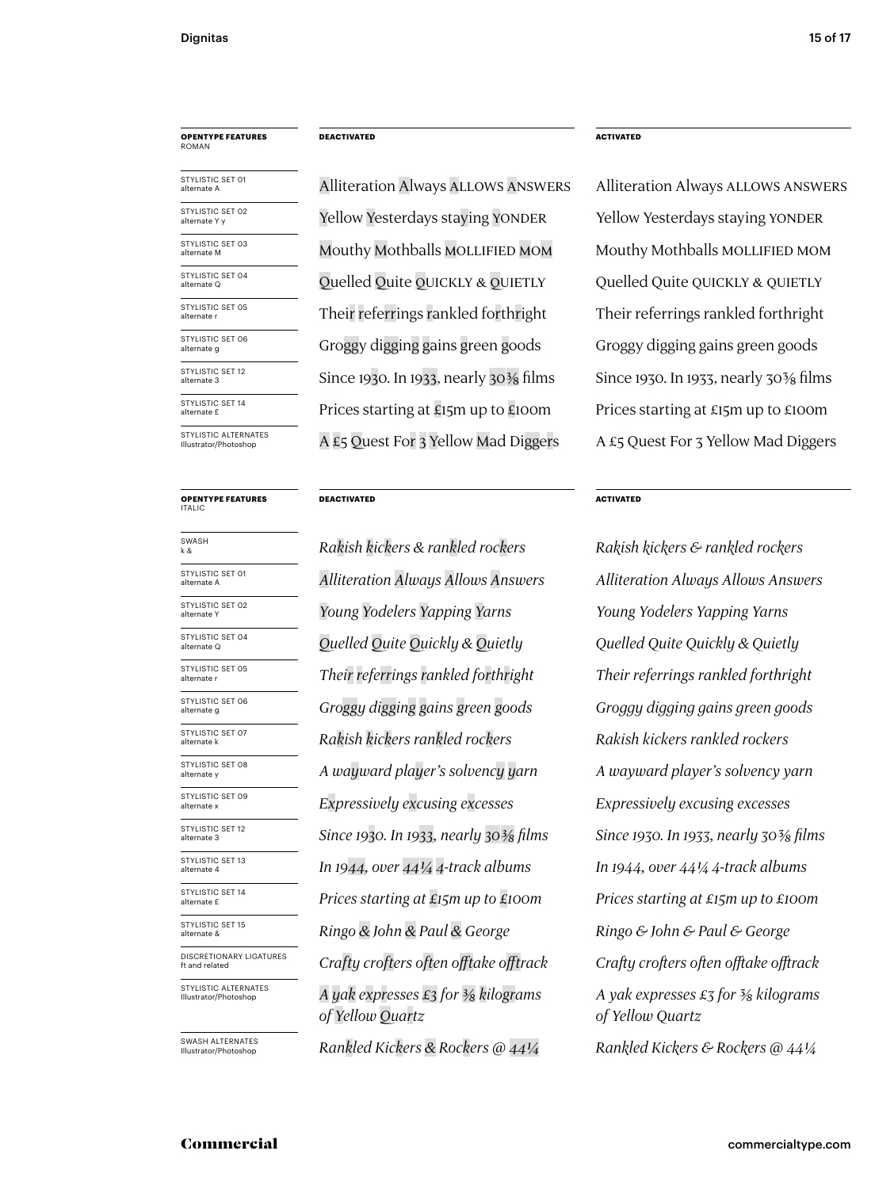### **OPENTYPE FEATURES** ROMAN

| STYLISTIC SET 01<br>alternate A               |
|-----------------------------------------------|
| STYLISTIC SET 02<br>alternate Y v             |
| STYLISTIC SET 03<br>alternate M               |
| STYLISTIC SET 04<br>alternate Q               |
| STYLISTIC SET 05<br>alternate r               |
| STYLISTIC SFT 06<br>alternate g               |
| STYLISTIC SFT 12<br>alternate 3               |
| STYLISTIC SET 14<br>alternate £               |
| STYLISTIC ALTERNATES<br>Illustrator/Photoshop |

#### **OPENTYPE FEATURES** ITALIC

| SWASH<br>k &                                  |
|-----------------------------------------------|
| STYLISTIC SET 01<br>alternate A               |
| STYLISTIC SET 02<br>alternate Y               |
| STYLISTIC SET 04<br>alternate Q               |
| STYLISTIC SET 05<br>alternate r               |
| STYLISTIC SET 06<br>alternate g               |
| STYLISTIC SET 07<br>alternate k               |
| STYLISTIC SET 08<br>alternate y               |
| STYLISTIC SET 09<br>alternate x               |
| STYLISTIC SET 12<br>alternate 3               |
| STYLISTIC SET 13<br>alternate 4               |
| <b>STYLISTIC SET 14</b><br>alternate £        |
| STYLISTIC SET 15<br>alternate &               |
| DISCRETIONARY LIGATURES<br>ft and related     |
| STYLISTIC ALTERNATES<br>Illustrator/Photoshop |
|                                               |

SWASH ALTERNATES Illustrator/Photoshop

### **DEACTIVATED**

Alliteration Always Allows Answers Yellow Yesterdays staying YONDER Mouthy Mothballs Mollified Mom A £5 Quest For 3 Yellow Mad Diggers A £5 Quest For 3 Yellow Mad Diggers Their referrings rankled forthright Quelled Quite QUICKLY & QUIETLY Since 1930. In 1933, nearly 30% films Since 1930. In 1933, nearly 30% films Prices starting at £15m up to £100m Prices starting at £15m up to £100m Groggy digging gains green goods

### **DEACTIVATED**

*Alliteration Always Allows Answers Rakish kickers rankled rockers Rakish kickers rankled rockers Expressively excusing excesses Expressively excusing excesses Crafty crofters often offtake offtrack Crafty crofters often offtake offtrack Ringo & John & Paul & George A yak expresses £3 for 3/8 kilograms of Yellow Quartz A wayward player's solvency yarn A wayward player's solvency yarn In 1944, over 441/4 4-track albums In 1944, over 441/4 4-track albums Their referrings rankled forthright Quelled Quite Quickly & Quietly Groggy digging gains green goods* k & *Rakish kickers & rankled rockers Rakish kickers & rankled rockers* alternate Y *Young Yodelers Yapping Yarns Young Yodelers Yapping Yarns Since 1930. In 1933, nearly 303/8 films Since 1930. In 1933, nearly 303/8 films Prices starting at £15m up to £100m Prices starting at £15m up to £100m*

### **ACTIVATED**

Yellow Yesterdays staying YONDER Mouthy Mothballs Mollified Mom Alliteration Always Allows Answers Their referrings rankled forthright Quelled Quite QUICKLY & QUIETLY Groggy digging gains green goods

### **ACTIVATED**

*Rankled Kickers & Rockers @ 441/4 Rankled Kickers & Rockers @ 441/4 A yak expresses £3 for 3/8 kilograms of Yellow Quartz Ringo & John & Paul & George Alliteration Always Allows Answers Their referrings rankled forthright Quelled Quite Quickly & Quietly Groggy digging gains green goods*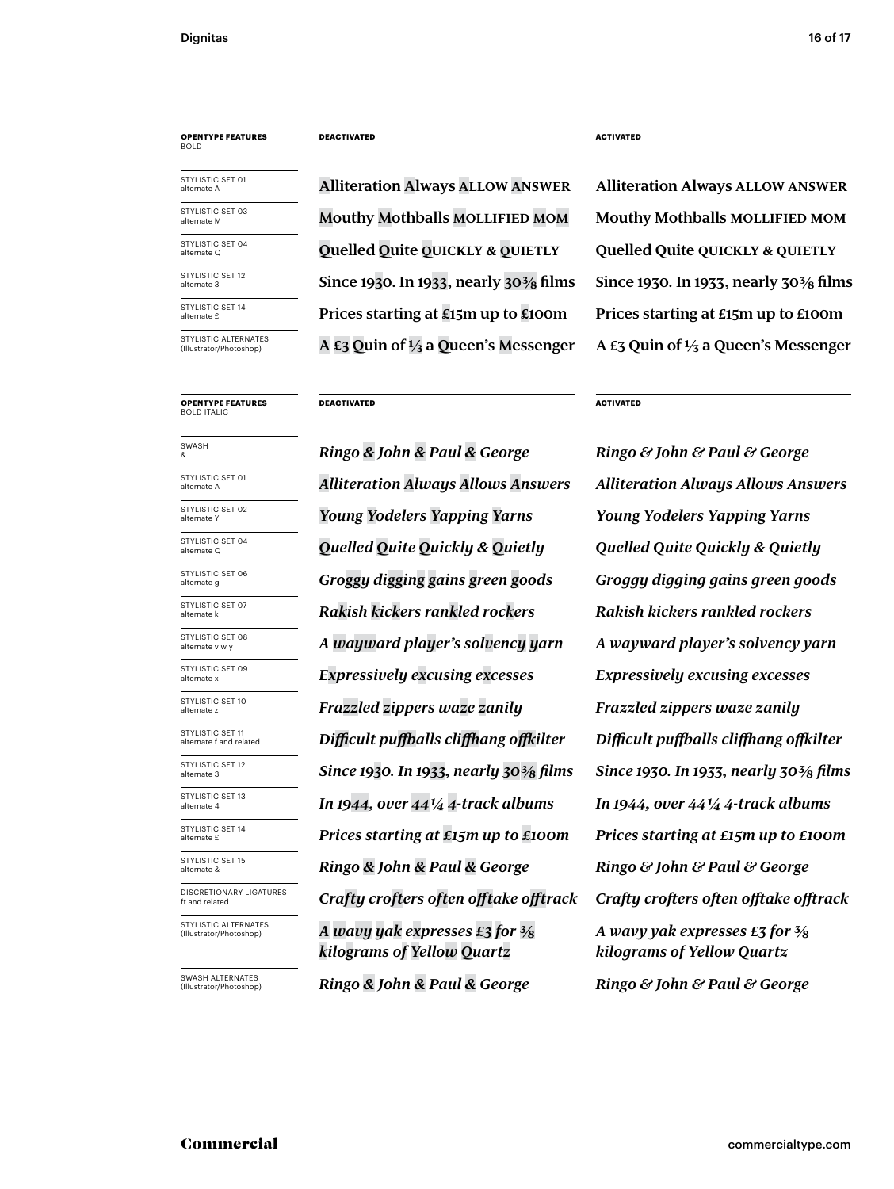### **OPENTYPE FEATURES** BOLD

STYLISTIC SET 04 alternate Q STYLISTIC SET 01 alternate A STYLISTIC SET 03 alternate M STYLISTIC SFT 12 alternate 3 STYLISTIC SET 14

STYLISTIC ALTERNATES<br>(Illustrator/Photoshop)

**OPENTYPE FEATURES** BOLD ITALIC

alternate £

STYLISTIC SET 11 alternate f and related STYLISTIC SET 10 alternate z STYLISTIC SET 04 alternate Q STYLISTIC SET 01 alternate A STYLISTIC SET 07 alternate k STYLISTIC SET 09 alternate > STYLISTIC SET 15 alternate & STYLISTIC SET 08 alternate v w y STYLISTIC SET 13 alternate 4 STYLISTIC SET 06 alternate g DISCRETIONARY LIGATURES ft and related STYLISTIC ALTERNATES (Illustrator/Phot SWASH STYLISTIC SET 02<br>alternate Y STYLISTIC SET 12 alternate 3 STYLISTIC SET 14 alternate £

SWASH ALTERNATES (Illustrator/Photoshop)

**DEACTIVATED ACTIVATED**

**Alliteration Always Allow Answer Mouthy Mothballs Mollified Mom Mouthy Mothballs Mollified Mom Quelled Quite quickly & quietly Quelled Quite quickly & quietly Since 1930. In 1933, nearly 303/8 films Since 1930. In 1933, nearly 303/8 films Prices starting at £15m up to £100m Prices starting at £15m up to £100m** (Illustrator/Photoshop) **A £3 Quin of ⅓ a Queen's Messenger A £3 Quin of 1/3 a Queen's Messenger**

**DEACTIVATED ACTIVATED**

*Difficult puffballs cliffhang offkilter Difficult puffballs cliffhang offkilter Frazzled zippers waze zanily Frazzled zippers waze zanily Alliteration Always Allows Answers Rakish kickers rankled rockers Rakish kickers rankled rockers Expressively excusing excesses Expressively excusing excesses Crafty crofters often offtake offtrack Crafty crofters often offtake offtrack Ringo & John & Paul & George A wavy yak expresses £3 for 3/8 kilograms of Yellow Quartz A wayward player's solvency yarn A wayward player's solvency yarn In 1944, over 441/4 4-track albums In 1944, over 441/4 4-track albums Quelled Quite Quickly & Quietly Quelled Quite Quickly & Quietly Groggy digging gains green goods Groggy digging gains green goods* & *Ringo & John & Paul & George Ringo & John & Paul & George* alternate Y *Young Yodelers Yapping Yarns Young Yodelers Yapping Yarns Since 1930. In 1933, nearly 303/8 films Since 1930. In 1933, nearly 303/8 films Prices starting at £15m up to £100m Prices starting at £15m up to £100m*

**Alliteration Always Allow Answer**

*Ringo & John & Paul & George Ringo & John & Paul & George A wavy yak expresses £3 for 3/8 kilograms of Yellow Quartz Ringo & John & Paul & George Alliteration Always Allows Answers*